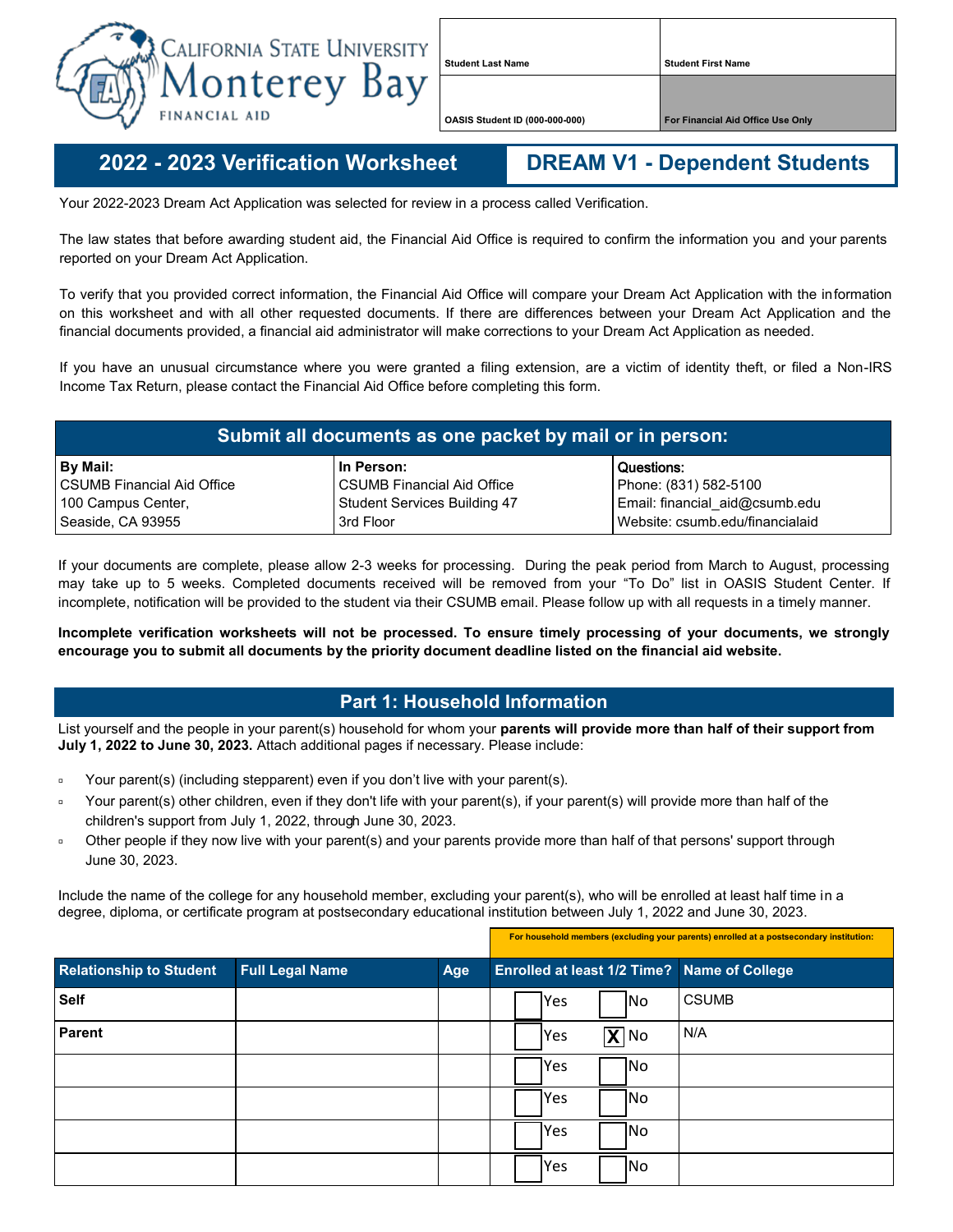

**Student Last Name Student First Name**

**OASIS Student ID (000-000-000) For Financial Aid Office Use Only**

**2022 - - 2023 Verification Worksheet DREAM V1 - Dependent Students**

**For household members (excluding your parents) enrolled at a postsecondary institution:**

Your 2022-2023 Dream Act Application was selected for review in a process called Verification.

The law states that before awarding student aid, the Financial Aid Office is required to confirm the information you and your parents reported on your Dream Act Application.

To verify that you provided correct information, the Financial Aid Office will compare your Dream Act Application with the information on this worksheet and with all other requested documents. If there are differences between your Dream Act Application and the financial documents provided, a financial aid administrator will make corrections to your Dream Act Application as needed.

If you have an unusual circumstance where you were granted a filing extension, are a victim of identity theft, or filed a Non-IRS Income Tax Return, please contact the Financial Aid Office before completing this form.

| Submit all documents as one packet by mail or in person: |                                     |                                 |  |  |  |
|----------------------------------------------------------|-------------------------------------|---------------------------------|--|--|--|
| By Mail:                                                 | In Person:                          | Questions:                      |  |  |  |
| l CSUMB Financial Aid Office                             | <b>CSUMB Financial Aid Office</b>   | Phone: (831) 582-5100           |  |  |  |
| 100 Campus Center,                                       | <b>Student Services Building 47</b> | Email: financial_aid@csumb.edu  |  |  |  |
| Seaside, CA 93955                                        | 3rd Floor                           | Website: csumb.edu/financialaid |  |  |  |

If your documents are complete, please allow 2-3 weeks for processing. During the peak period from March to August, processing may take up to 5 weeks. Completed documents received will be removed from your "To Do" list in OASIS Student Center. If incomplete, notification will be provided to the student via their CSUMB email. Please follow up with all requests in a timely manner.

**Incomplete verification worksheets will not be processed. To ensure timely processing of your documents, we strongly encourage you to submit all documents by the priority document deadline listed on the financial aid website.**

## **Part 1: Household Information**

List yourself and the people in your parent(s) household for whom your **parents will provide more than half of their support from July 1, 2022 to June 30, 2023.** Attach additional pages if necessary. Please include:

- Your parent(s) (including stepparent) even if you don't live with your parent(s).
- Your parent(s) other children, even if they don't life with your parent(s), if your parent(s) will provide more than half of the children's support from July 1, 2022, through June 30, 2023.
- □ Other people if they now live with your parent(s) and your parents provide more than half of that persons' support through June 30, 2023.

Include the name of the college for any household member, excluding your parent(s), who will be enrolled at least half time in a degree, diploma, or certificate program at postsecondary educational institution between July 1, 2022 and June 30, 2023.

| <b>Relationship to Student</b> | <b>Full Legal Name</b> | Age | <b>Enrolled at least 1/2 Time?</b> Name of College |
|--------------------------------|------------------------|-----|----------------------------------------------------|
| <b>Self</b>                    |                        |     | <b>CSUMB</b><br> Yes<br><b>No</b>                  |
| <b>Parent</b>                  |                        |     | N/A<br>$\overline{X}$ No<br> Yes                   |
|                                |                        |     | <b>Yes</b><br>1No                                  |
|                                |                        |     | No<br><b>Yes</b>                                   |
|                                |                        |     | Yes<br> No                                         |
|                                |                        |     | Yes<br> No                                         |